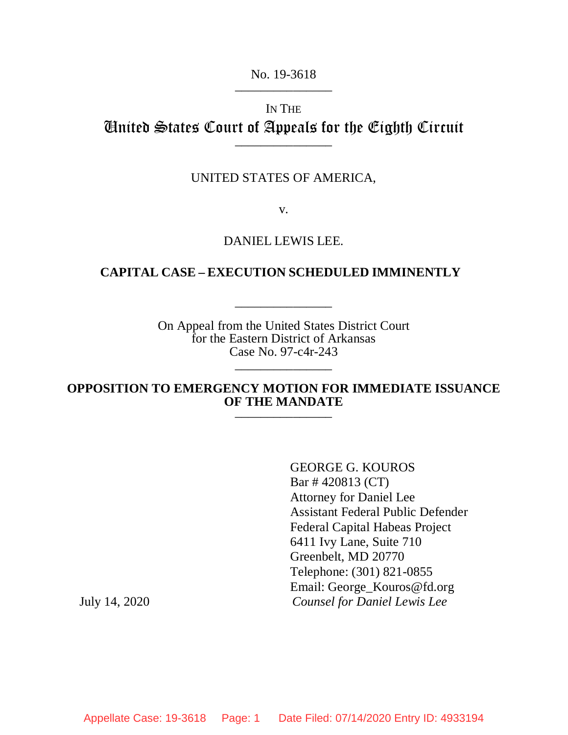#### No. 19-3618

# IN THE United States Court of Appeals for the Eighth Circuit \_\_\_\_\_\_\_\_\_\_\_\_\_\_\_

### UNITED STATES OF AMERICA,

v.

## DANIEL LEWIS LEE.

## **CAPITAL CASE – EXECUTION SCHEDULED IMMINENTLY**

\_\_\_\_\_\_\_\_\_\_\_\_\_\_\_

On Appeal from the United States District Court for the Eastern District of Arkansas Case No. 97-c4r-243

## **OPPOSITION TO EMERGENCY MOTION FOR IMMEDIATE ISSUANCE OF THE MANDATE**

\_\_\_\_\_\_\_\_\_\_\_\_\_\_\_

GEORGE G. KOUROS Bar # 420813 (CT) Attorney for Daniel Lee Assistant Federal Public Defender Federal Capital Habeas Project 6411 Ivy Lane, Suite 710 Greenbelt, MD 20770 Telephone: (301) 821-0855 Email: George\_Kouros@fd.org July 14, 2020 *Counsel for Daniel Lewis Lee*

Appellate Case: 19-3618 Page: 1 Date Filed: 07/14/2020 Entry ID: 4933194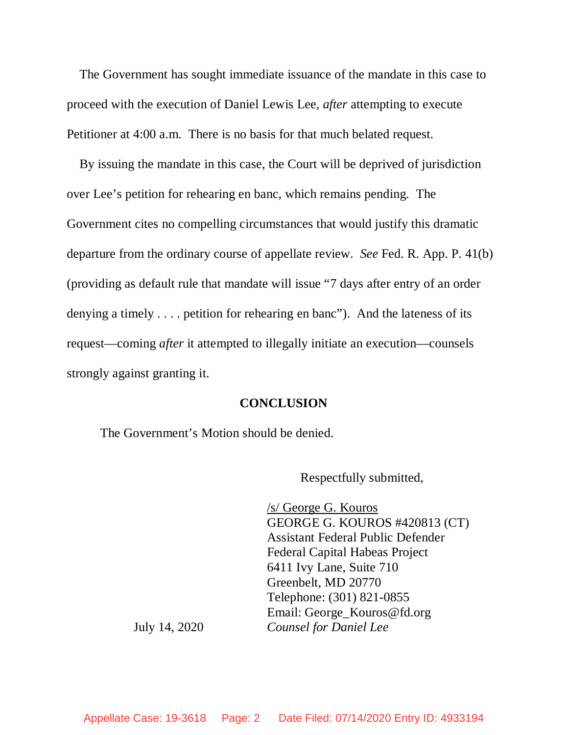The Government has sought immediate issuance of the mandate in this case to proceed with the execution of Daniel Lewis Lee, *after* attempting to execute Petitioner at 4:00 a.m. There is no basis for that much belated request.

By issuing the mandate in this case, the Court will be deprived of jurisdiction over Lee's petition for rehearing en banc, which remains pending. The Government cites no compelling circumstances that would justify this dramatic departure from the ordinary course of appellate review. *See* Fed. R. App. P. 41(b) (providing as default rule that mandate will issue "7 days after entry of an order denying a timely . . . . petition for rehearing en banc"). And the lateness of its request—coming *after* it attempted to illegally initiate an execution—counsels strongly against granting it.

#### **CONCLUSION**

The Government's Motion should be denied.

Respectfully submitted,

/s/ George G. Kouros GEORGE G. KOUROS #420813 (CT) Assistant Federal Public Defender Federal Capital Habeas Project 6411 Ivy Lane, Suite 710 Greenbelt, MD 20770 Telephone: (301) 821-0855 Email: George\_Kouros@fd.org July 14, 2020 *Counsel for Daniel Lee*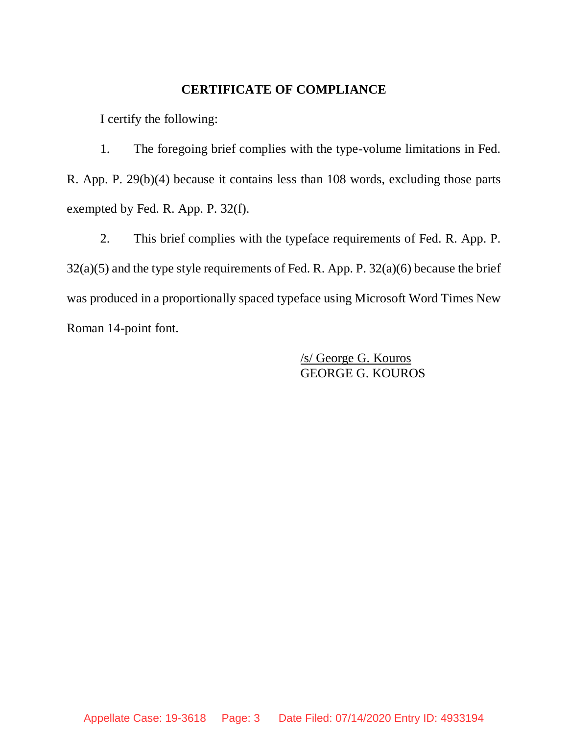## **CERTIFICATE OF COMPLIANCE**

I certify the following:

1. The foregoing brief complies with the type-volume limitations in Fed. R. App. P. 29(b)(4) because it contains less than 108 words, excluding those parts exempted by Fed. R. App. P. 32(f).

2. This brief complies with the typeface requirements of Fed. R. App. P. 32(a)(5) and the type style requirements of Fed. R. App. P. 32(a)(6) because the brief was produced in a proportionally spaced typeface using Microsoft Word Times New Roman 14-point font.

> /s/ George G. Kouros GEORGE G. KOUROS